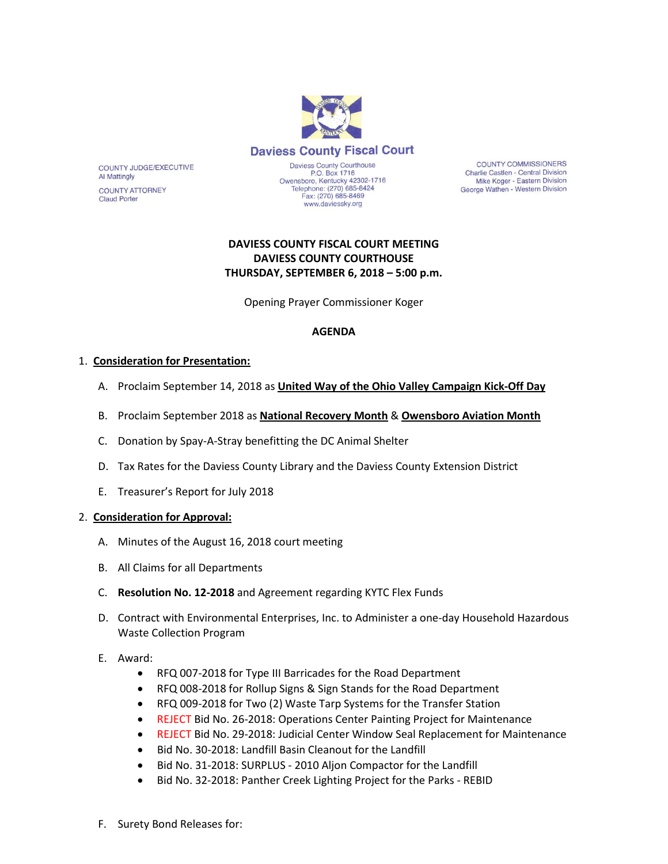

COUNTY JUDGE/EXECUTIVE **Al Mattingly** 

**COUNTY ATTORNEY Claud Porter** 

Daviess County Courthouse<br>P.O. Box 1716 Owensboro, Kentucky 42302-1716<br>Telephone: (270) 685-8424 Fax: (270) 685-8469 www.daviessky.org

**COUNTY COMMISSIONERS** Charlie Castlen - Central Division Mike Koger - Eastern Division George Wathen - Western Division

# **DAVIESS COUNTY FISCAL COURT MEETING DAVIESS COUNTY COURTHOUSE THURSDAY, SEPTEMBER 6, 2018 – 5:00 p.m.**

Opening Prayer Commissioner Koger

#### **AGENDA**

#### 1. **Consideration for Presentation:**

- A. Proclaim September 14, 2018 as **United Way of the Ohio Valley Campaign Kick-Off Day**
- B. Proclaim September 2018 as **National Recovery Month** & **Owensboro Aviation Month**
- C. Donation by Spay-A-Stray benefitting the DC Animal Shelter
- D. Tax Rates for the Daviess County Library and the Daviess County Extension District
- E. Treasurer's Report for July 2018

#### 2. **Consideration for Approval:**

- A. Minutes of the August 16, 2018 court meeting
- B. All Claims for all Departments
- C. **Resolution No. 12-2018** and Agreement regarding KYTC Flex Funds
- D. Contract with Environmental Enterprises, Inc. to Administer a one-day Household Hazardous Waste Collection Program

#### E. Award:

- RFQ 007-2018 for Type III Barricades for the Road Department
- RFQ 008-2018 for Rollup Signs & Sign Stands for the Road Department
- RFQ 009-2018 for Two (2) Waste Tarp Systems for the Transfer Station
- REJECT Bid No. 26-2018: Operations Center Painting Project for Maintenance
- REJECT Bid No. 29-2018: Judicial Center Window Seal Replacement for Maintenance
- Bid No. 30-2018: Landfill Basin Cleanout for the Landfill
- Bid No. 31-2018: SURPLUS 2010 Aljon Compactor for the Landfill
- Bid No. 32-2018: Panther Creek Lighting Project for the Parks REBID
- F. Surety Bond Releases for: